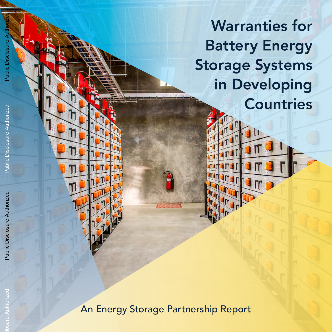Warranties for Battery Energy Storage Systems in Developing Countries

175

 $\blacksquare$ 

An Energy Storage Partnership Report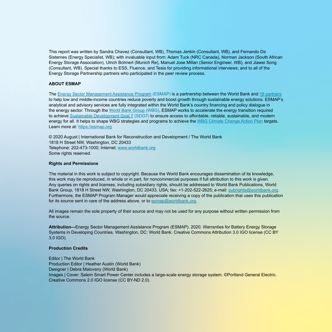This report was written by Sandra Chavez (Consultant, WB), Thomas Jenkin (Consultant, WB), and Fernando De Sisternes (Energy Specialist, WB); with invaluable input from: Adam Tuck (NRC Canada), Norman Jackson (South African Energy Storage Association), Ulrich Bohnert (Munich Re), Manuel Jose Millan (Senior Engineer, WB), and Jiawei Song (Consultant, WB). Special thanks to ESS, Fluence, and Tesla for providing informational interviews; and to all of the Energy Storage Partnership partners who participated in the peer review process.

#### **ABOUT ESMAP**

The [Energy Sector Management Assistance Program \(ESMAP\)](http://www.esmap.org) is a partnership between the World Bank and [18 partners](https://esmap.org/governance) to help low and middle-income countries reduce poverty and boost growth through sustainable energy solutions. ESMAP's analytical and advisory services are fully integrated within the World Bank's country financing and policy dialogue in the energy sector. Through the [World Bank Group \(WBG\)](http://www.worldbank.org/), ESMAP works to accelerate the energy transition required to achieve [Sustainable Development Goal 7 \(SDG7\)](https://sustainabledevelopment.un.org/sdg7) to ensure access to affordable, reliable, sustainable, and modern energy for all. It helps to shape WBG strategies and programs to achieve the [WBG Climate Change Action Plan](https://openknowledge.worldbank.org/handle/10986/24451) targets. Learn more at:<https://esmap.org>

© 2020 August | International Bank for Reconstruction and Development / The World Bank 1818 H Street NW, Washington, DC 20433 Telephone: 202-473-1000; Internet: [www.worldbank.org](http://www.worldbank.org) Some rights reserved.

#### **Rights and Permissions**

The material in this work is subject to copyright. Because the World Bank encourages dissemination of its knowledge, this work may be reproduced, in whole or in part, for noncommercial purposes if full attribution to this work is given. Any queries on rights and licenses, including subsidiary rights, should be addressed to World Bank Publications, World Bank Group, 1818 H Street NW, Washington, DC 20433, USA; fax: +1-202-522-2625; e-mail: [pubrights@worldbank.org](http://pubrights@worldbank.org). Furthermore, the ESMAP Program Manager would appreciate receiving a copy of the publication that uses this publication for its source sent in care of the address above, or to [esmap@worldbank.org](http://esmap@worldbank.org).

All images remain the sole property of their source and may not be used for any purpose without written permission from the source.

**Attribution—**Energy Sector Management Assistance Program (ESMAP). 2020. Warranties for Battery Energy Storage Systems in Developing Countries. Washington, DC: World Bank. Creative Commons Attribution 3.0 IGO license (CC BY 3.0 IGO).

#### **Production Credits**

Editor | The World Bank Production Editor | Heather Austin (World Bank) Designer | Debra Malovany (World Bank) Images | Cover: Salem Smart Power Center includes a large-scale energy storage system. ©Portland General Electric. Creative Commons 2.0 IGO license (CC BY-ND 2.0).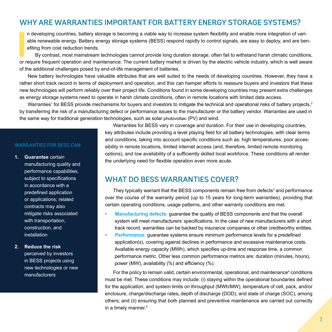# WHY ARE WARRANTIES IMPORTANT FOR BATTERY ENERGY STORAGE SYSTEMS?

III also require frequent operation and maintenance. The current battery market is driven by the electric vehicle industry, which is well aware or require frequent operation and maintenance. The current battery market is d n developing countries, battery storage is becoming a viable way to increase system flexibility and enable more integration of variable renewable energy. Battery energy storage systems (BESS) respond rapidly to control signals, are easy to deploy, and are benefiting from cost reduction trends.

By contrast, most mainstream technologies cannot provide long duration storage, often fail to withstand harsh climatic conditions, of the additional challenges posed by end-of-life management of batteries.

New battery technologies have valuable attributes that are well suited to the needs of developing countries. However, they have a rather short track record in terms of deployment and operation, and this can hamper efforts to reassure buyers and investors that these new technologies will perform reliably over their project life. Conditions found in some developing countries may present extra challenges as energy storage systems need to operate in harsh climate conditions, often in remote locations with limited data access.

Warranties<sup>1</sup> for BESS provide mechanisms for buyers and investors to mitigate the technical and operational risks of battery projects,<sup>2</sup> by transferring the risk of a manufacturing defect or performance issues to the manufacturer or the battery vendor. Warranties are used in the same way for traditional generation technologies, such as solar photovoltaic (PV) and wind.

### WARRANTIES FOR BESS CAN:

**1. Guarantee** certain

manufacturing quality and performance capabilities, subject to specifications in accordance with a predefined application or applications; related contracts may also mitigate risks associated with transportation, construction, and installation

### **2. Reduce the risk**

perceived by investors in BESS projects using new technologies or new manufacturers

Warranties for BESS vary in coverage and duration. For their use in developing countries, key attributes include providing a level playing field for all battery technologies, with clear terms and conditions, taking into account specific conditions such as: high temperatures, poor accessibility in remote locations, limited internet access (and, therefore, limited remote monitoring options), and low availability of a sufficiently skilled local workforce. These conditions all render the underlying need for flexible operation even more acute.

### WHAT DO BESS WARRANTIES COVER?

They typically warrant that the BESS components remain free from defects<sup>3</sup> and performance over the course of the warranty period (up to 15 years for long-term warranties), providing that certain operating conditions, usage patterns, and other warranty conditions are met.

- **• Manufacturing defects:** guarantee the quality of BESS components and that the overall system will meet manufacturers' specifications. In the case of new manufacturers with a short track record, warranties can be backed by insurance companies or other creditworthy entities.
- **• Performance:** guarantee systems ensure minimum performance levels for a predefined application(s), covering against declines in performance and excessive maintenance costs. Available energy capacity (MWh), which specifies up-time and response time, a common performance metric. Other less common performance metrics are: duration (minutes, hours), power (MW), availability (%) and efficiency (%).

For the policy to remain valid, certain environmental, operational, and maintenance<sup>4</sup> conditions must be met. These conditions may include: (i) staying within the operational boundaries defined for the application, and system limits on throughput (MWh/MW), temperature of cell, pack, and/or enclosure, charge/discharge rates**,** depth of discharge (DOD), and state of charge (SOC), among others; and (ii) ensuring that both planned and preventive maintenance are carried out correctly in a timely manner.<sup>5</sup>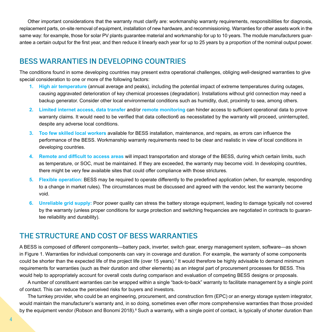Other important considerations that the warranty must clarify are: workmanship warranty requirements, responsibilities for diagnosis, replacement parts, on-site removal of equipment, installation of new hardware, and recommissioning. Warranties for other assets work in the same way: for example, those for solar PV plants guarantee material and workmanship for up to 10 years. The module manufacturers guarantee a certain output for the first year, and then reduce it linearly each year for up to 25 years by a proportion of the nominal output power.

## BESS WARRANTIES IN DEVELOPING COUNTRIES

The conditions found in some developing countries may present extra operational challenges, obliging well-designed warranties to give special consideration to one or more of the following factors:

- **1. High air temperature** (annual average and peaks), including the potential impact of extreme temperatures during outages, causing aggravated deterioration of key chemical processes (degradation). Installations without grid connection may need a backup generator. Consider other local environmental conditions such as humidity, dust, proximity to sea, among others.
- **2. Limited internet access, data transfer** and/or **remote monitoring** can hinder access to sufficient operational data to prove warranty claims. It would need to be verified that data collection6 as necessitated by the warranty will proceed, uninterrupted, despite any adverse local conditions.
- **3. Too few skilled local workers** available for BESS installation, maintenance, and repairs, as errors can influence the performance of the BESS. Workmanship warranty requirements need to be clear and realistic in view of local conditions in developing countries.
- **4. Remote and difficult to access areas** will impact transportation and storage of the BESS, during which certain limits, such as temperature, or SOC, must be maintained. If they are exceeded, the warranty may become void. In developing countries, there might be very few available sites that could offer compliance with those strictures.
- **5. Flexible operation:** BESS may be required to operate differently to the predefined application (when, for example, responding to a change in market rules). The circumstances must be discussed and agreed with the vendor, lest the warranty become void.
- **6. Unreliable grid supply:** Poor power quality can stress the battery storage equipment, leading to damage typically not covered by the warranty (unless proper conditions for surge protection and switching frequencies are negotiated in contracts to guarantee reliability and durability).

## THE STRUCTURE AND COST OF BESS WARRANTIES

A BESS is composed of different components—battery pack, inverter, switch gear, energy management system, software—as shown in Figure 1. Warranties for individual components can vary in coverage and duration. For example, the warranty of some components could be shorter than the expected life of the project life (over 15 years).<sup>7</sup> It would therefore be highly advisable to demand minimum requirements for warranties (such as their duration and other elements) as an integral part of procurement processes for BESS. This would help to appropriately account for overall costs during comparison and evaluation of competing BESS designs or proposals.

A number of constituent warranties can be wrapped within a single "back-to-back" warranty to facilitate management by a single point of contact. This can reduce the perceived risks for buyers and investors.

The turnkey provider, who could be an engineering, procurement, and construction firm (EPC) or an energy storage system integrator, would maintain the manufacturer's warranty and, in so doing, sometimes even offer more comprehensive warranties than those provided by the equipment vendor (Robson and Bonomi 2018).<sup>8</sup> Such a warranty, with a single point of contact, is typically of shorter duration than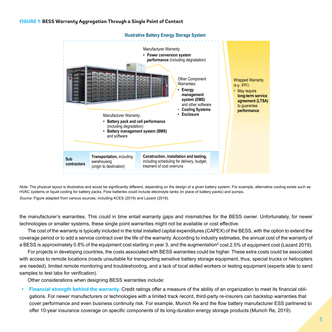### **FIGURE 1: BESS Warranty Aggregation Through a Single Point of Contact**



**Illustrative Battery Energy Storage System**

*Note:* The physical layout is illustrative and would be significantly different, depending on the design of a given battery system. For example, alternative cooling exists such as HVAC systems or liquid cooling for battery packs. Flow batteries could include electrolyte tanks (in place of battery packs) and pumps. *Source:* Figure adapted from various sources, including ACES (2019) and Lazard (2019).

the manufacturer's warranties. This could in time entail warranty gaps and mismatches for the BESS owner. Unfortunately, for newer technologies or smaller systems, these single point warranties might not be available or cost effective.

The cost of the warranty is typically included in the total installed capital expenditures (CAPEX) of the BESS, with the option to extend the coverage period or to add a service contract over the life of the warranty. According to industry estimates, the annual cost of the warranty of a BESS is approximately 0.8% of the equipment cost starting in year 3, and the augmentation<sup>9</sup> cost 2.5% of equipment cost (Lazard 2019).

For projects in developing countries, the costs associated with BESS warranties could be higher. These extra costs could be associated with access to remote locations (roads unsuitable for transporting sensitive battery storage equipment, thus, special trucks or helicopters are needed), limited remote monitoring and troubleshooting, and a lack of local skilled workers or testing equipment (experts able to send samples to test labs for verification).

Other considerations when designing BESS warranties include:

**• Financial strength behind the warranty.** Credit ratings offer a measure of the ability of an organization to meet its financial obligations. For newer manufacturers or technologies with a limited track record, third-party re-insurers can backstop warranties that cover performance and even business continuity risk. For example, Munich Re and the flow battery manufacturer ESS partnered to offer 10-year insurance coverage on specific components of its long-duration energy storage products (Munich Re, 2019).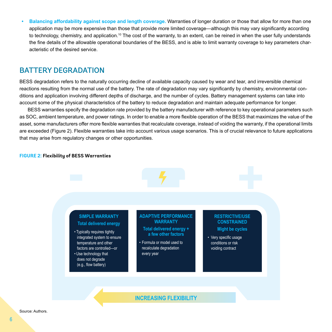**• Balancing affordability against scope and length coverage.** Warranties of longer duration or those that allow for more than one application may be more expensive than those that provide more limited coverage—although this may vary significantly according to technology, chemistry, and application.10 The cost of the warranty, to an extent, can be reined in when the user fully understands the fine details of the allowable operational boundaries of the BESS, and is able to limit warranty coverage to key parameters characteristic of the desired service.

### BATTERY DEGRADATION

BESS degradation refers to the naturally occurring decline of available capacity caused by wear and tear, and irreversible chemical reactions resulting from the normal use of the battery. The rate of degradation may vary significantly by chemistry, environmental conditions and application involving different depths of discharge, and the number of cycles. Battery management systems can take into account some of the physical characteristics of the battery to reduce degradation and maintain adequate performance for longer.

BESS warranties specify the degradation rate provided by the battery manufacturer with reference to key operational parameters such as SOC, ambient temperature, and power ratings. In order to enable a more flexible operation of the BESS that maximizes the value of the asset, some manufacturers offer more flexible warranties that recalculate coverage, instead of voiding the warranty, if the operational limits are exceeded (Figure 2). Flexible warranties take into account various usage scenarios. This is of crucial relevance to future applications that may arise from regulatory changes or other opportunities.

#### **FIGURE 2: Flexibility of BESS Warranties**

### **SIMPLE WARRANTY Total delivered energy**

- Typically requires tightly integrated system to ensure temperature and other factors are controlled—or
- Use technology that does not degrade (e.g., flow battery)

### **ADAPTIVE PERFORMANCE WARRANTY**

- **Total delivered energy + a few other factors**
- Formula or model used to recalculate degradation every year

### **RESTRICTIVE/USE CONSTRAINED Might be cycles**

• Very specific usage conditions or risk voiding contract

**INCREASING FLEXIBILITY**

Source: Authors.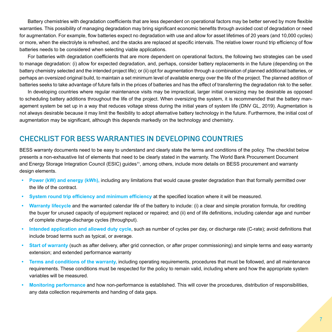Battery chemistries with degradation coefficients that are less dependent on operational factors may be better served by more flexible warranties. This possibility of managing degradation may bring significant economic benefits through avoided cost of degradation or need for augmentation. For example, flow batteries expect no degradation with use and allow for asset lifetimes of 20 years (and 10,000 cycles) or more, when the electrolyte is refreshed, and the stacks are replaced at specific intervals. The relative lower round trip efficiency of flow batteries needs to be considered when selecting viable applications.

For batteries with degradation coefficients that are more dependent on operational factors, the following two strategies can be used to manage degradation: (i) allow for expected degradation, and, perhaps, consider battery replacements in the future (depending on the battery chemistry selected and the intended project life); or (ii) opt for augmentation through a combination of planned additional batteries, or perhaps an oversized original build, to maintain a set minimum level of available energy over the life of the project. The planned addition of batteries seeks to take advantage of future falls in the prices of batteries and has the effect of transferring the degradation risk to the seller.

In developing countries where regular maintenance visits may be impractical, larger initial oversizing may be desirable as opposed to scheduling battery additions throughout the life of the project. When oversizing the system, it is recommended that the battery management system be set up in a way that reduces voltage stress during the initial years of system life (DNV GL, 2019). Augmentation is not always desirable because it may limit the flexibility to adopt alternative battery technology in the future. Furthermore, the initial cost of augmentation may be significant, although this depends markedly on the technology and chemistry.

# CHECKLIST FOR BESS WARRANTIES IN DEVELOPING COUNTRIES

BESS warranty documents need to be easy to understand and clearly state the terms and conditions of the policy. The checklist below presents a non-exhaustive list of elements that need to be clearly stated in the warranty. The World Bank Procurement Document and Energy Storage Integration Council (ESIC) guides<sup>11</sup>, among others, include more details on BESS procurement and warranty design elements.

- **• Power (kW) and energy (kWh),** including any limitations that would cause greater degradation than that formally permitted over the life of the contract.
- **• System round trip efficiency and minimum efficiency** at the specified location where it will be measured.
- **• Warranty lifecycle** and the warranted calendar life of the battery to include: (i) a clear and simple proration formula, for crediting the buyer for unused capacity of equipment replaced or repaired; and (ii) end of life definitions, including calendar age and number of complete charge-discharge cycles (throughput).
- **• Intended application and allowed duty cycle**, such as number of cycles per day, or discharge rate (C-rate); avoid definitions that include broad terms such as typical, or average.
- **• Start of warranty** (such as after delivery, after grid connection, or after proper commissioning) and simple terms and easy warranty extension; and extended performance warranty
- **• Terms and conditions of the warranty,** including operating requirements, procedures that must be followed, and all maintenance requirements. These conditions must be respected for the policy to remain valid, including where and how the appropriate system variables will be measured.
- **• Monitoring performance** and how non-performance is established. This will cover the procedures, distribution of responsibilities, any data collection requirements and handing of data gaps.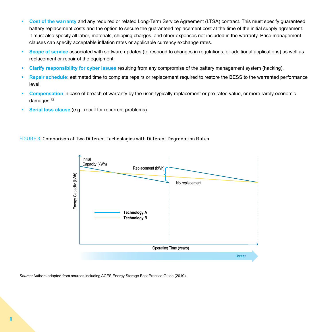- **• Cost of the warranty** and any required or related Long-Term Service Agreement (LTSA) contract. This must specify guaranteed battery replacement costs and the option to secure the guaranteed replacement cost at the time of the initial supply agreement. It must also specify all labor, materials, shipping charges, and other expenses not included in the warranty. Price management clauses can specify acceptable inflation rates or applicable currency exchange rates.
- **• Scope of service** associated with software updates (to respond to changes in regulations, or additional applications) as well as replacement or repair of the equipment.
- **• Clarify responsibility for cyber issues** resulting from any compromise of the battery management system (hacking).
- **• Repair schedule:** estimated time to complete repairs or replacement required to restore the BESS to the warranted performance level.
- **• Compensation** in case of breach of warranty by the user, typically replacement or pro-rated value, or more rarely economic damages.<sup>12</sup>
- **• Serial loss clause** (e.g., recall for recurrent problems).

### FIGURE 3: Comparison of Two Different Technologies with Different Degradation Rates



*Source:* Authors adapted from sources including ACES Energy Storage Best Practice Guide (2019).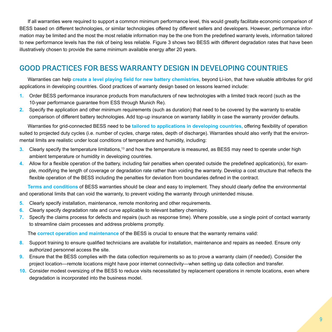If all warranties were required to support a common minimum performance level, this would greatly facilitate economic comparison of BESS based on different technologies, or similar technologies offered by different sellers and developers. However, performance information may be limited and the most the most reliable information may be the one from the predefined warranty levels, information tailored to new performance levels has the risk of being less reliable. Figure 3 shows two BESS with different degradation rates that have been illustratively chosen to provide the same minimum available energy after 20 years.

# GOOD PRACTICES FOR BESS WARRANTY DESIGN IN DEVELOPING COUNTRIES

Warranties can help **create a level playing field for new battery chemistries,** beyond Li-ion, that have valuable attributes for grid applications in developing countries. Good practices of warranty design based on lessons learned include:

- **1.** Order BESS performance insurance products from manufacturers of new technologies with a limited track record (such as the 10-year performance guarantee from ESS through Munich Re).
- **2.** Specify the application and other minimum requirements (such as duration) that need to be covered by the warranty to enable comparison of different battery technologies. Add top-up insurance on warranty liability in case the warranty provider defaults.

Warranties for grid-connected BESS need to be **tailored to applications in developing countries,** offering flexibility of operation suited to projected duty cycles (i.e. number of cycles, charge rates, depth of discharge). Warranties should also verify that the environmental limits are realistic under local conditions of temperature and humidity, including:

- **3.** Clearly specify the temperature limitations,<sup>13</sup> and how the temperature is measured, as BESS may need to operate under high ambient temperature or humidity in developing countries.
- **4.** Allow for a flexible operation of the battery, including fair penalties when operated outside the predefined application(s), for example, modifying the length of coverage or degradation rate rather than voiding the warranty. Develop a cost structure that reflects the flexible operation of the BESS including the penalties for deviation from boundaries defined in the contract.

**Terms and conditions** of BESS warranties should be clear and easy to implement. They should clearly define the environmental and operational limits that can void the warranty, to prevent voiding the warranty through unintended misuse.

- **5.** Clearly specify installation, maintenance, remote monitoring and other requirements.
- **6.** Clearly specify degradation rate and curve applicable to relevant battery chemistry.
- **7.** Specify the claims process for defects and repairs (such as response time). Where possible, use a single point of contact warranty to streamline claim processes and address problems promptly.

The **correct operation and maintenance** of the BESS is crucial to ensure that the warranty remains valid:

- **8.** Support training to ensure qualified technicians are available for installation, maintenance and repairs as needed. Ensure only authorized personnel access the site.
- **9.** Ensure that the BESS complies with the data collection requirements so as to prove a warranty claim (if needed). Consider the project location—remote locations might have poor internet connectivity—when setting up data collection and transfer.
- **10.** Consider modest oversizing of the BESS to reduce visits necessitated by replacement operations in remote locations, even where degradation is incorporated into the business model.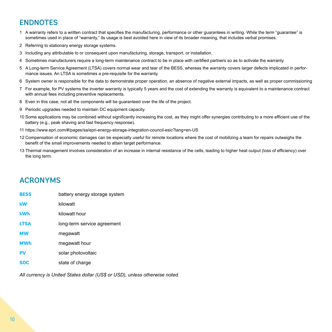# ENDNOTES

- 1 A warranty refers to a written contract that specifies the manufacturing, performance or other guarantees in writing. While the term "guarantee" is sometimes used in place of "warranty," its usage is best avoided here in view of its broader meaning, that includes verbal promises.
- 2 Referring to stationary energy storage systems.
- 3 Including any attributable to or consequent upon manufacturing, storage, transport, or installation.
- 4 Sometimes manufacturers require a long-term maintenance contract to be in place with certified partners so as to activate the warranty.
- 5 A Long-term Service Agreement (LTSA) covers normal wear and tear of the BESS, whereas the warranty covers larger defects implicated in performance issues. An LTSA is sometimes a pre-requisite for the warranty.
- 6 System owner is responsible for the data to demonstrate proper operation, an absence of negative external impacts, as well as proper commissioning
- 7 For example, for PV systems the inverter warranty is typically 5 years and the cost of extending the warranty is equivalent to a maintenance contract with annual fees including preventive replacements.
- 8 Even in this case, not all the components will be guaranteed over the life of the project.
- 9 Periodic upgrades needed to maintain DC equipment capacity.
- 10 Some applications may be combined without significantly increasing the cost, as they might offer synergies contributing to a more efficient use of the battery (e.g., peak shaving and fast frequency response).
- 11 https://www.epri.com/#/pages/sa/epri-energy-storage-integration-council-esic?lang=en-US
- 12 Compensation of economic damages can be especially useful for remote locations where the cost of mobilizing a team for repairs outweighs the benefit of the small improvements needed to attain target performance.
- 13 Thermal management involves consideration of an increase in internal resistance of the cells, leading to higher heat output (loss of efficiency) over the long term.

# ACRONYMS

| <b>BESS</b> | battery energy storage system |
|-------------|-------------------------------|
| kW          | kilowatt                      |
| <b>kWh</b>  | kilowatt hour                 |
| <b>LTSA</b> | long-term service agreement   |
| <b>MW</b>   | megawatt                      |
| <b>MWh</b>  | megawatt hour                 |
| <b>PV</b>   | solar photovoltaic            |
| <b>SOC</b>  | state of charge               |

*All currency is United States dollar (US\$ or USD), unless otherwise noted.*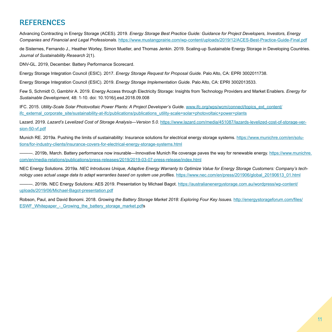# **REFERENCES**

Advancing Contracting in Energy Storage (ACES). 2019. *Energy Storage Best Practice Guide: Guidance for Project Developers, Investors, Energy Companies and Financial and Legal Professionals.* <https://www.mustangprairie.com/wp-content/uploads/2019/12/ACES-Best-Practice-Guide-Final.pdf>

de Sisternes, Fernando J., Heather Worley, Simon Mueller, and Thomas Jenkin. 2019. Scaling-up Sustainable Energy Storage in Developing Countries. *Journal of Sustainability Research* 2(1).

DNV-GL. 2019, December. Battery Performance Scorecard.

Energy Storage Integration Council (ESIC). 2017. *Energy Storage Request for Proposal Guide.* Palo Alto, CA: EPRI 3002011738.

Energy Storage Integration Council (ESIC). 2019. *Energy Storage Implementation Guide.* Palo Alto, CA: EPRI 3002013533.

Few S, Schmidt O, Gambhir A. 2019. Energy Access through Electricity Storage: Insights from Technology Providers and Market Enablers. *Energy for Sustainable Development,* 48: 1-10. doi: 10.1016/j.esd.2018.09.008

IFC. 2015. *Utility-Scale Solar Photovoltaic Power Plants: A Project Developer's Guide.* [www.ifc.org/wps/wcm/connect/topics\\_ext\\_content/](file:///CURRENT%20JOBS/73536_Heather/WARRANTIES/Warranties_brochure___Edits/www.ifc.org/wps/wcm/connect/topics_ext_content/ifc_external_corporate_site/sustainability-at-ifc/publications/publications_utility-scale+solar+photovoltaic+power+plants) [ifc\\_external\\_corporate\\_site/sustainability-at-ifc/publications/publications\\_utility-scale+solar+photovoltaic+power+plants](file:///CURRENT%20JOBS/73536_Heather/WARRANTIES/Warranties_brochure___Edits/www.ifc.org/wps/wcm/connect/topics_ext_content/ifc_external_corporate_site/sustainability-at-ifc/publications/publications_utility-scale+solar+photovoltaic+power+plants)

Lazard. 2019. *Lazard's Levelized Cost of Storage Analysis—Version 5.0.* [https://www.lazard.com/media/451087/lazards-levelized-cost-of-storage-ver](https://www.lazard.com/media/451087/lazards-levelized-cost-of-storage-version-50-vf.pdf)[sion-50-vf.pdf](https://www.lazard.com/media/451087/lazards-levelized-cost-of-storage-version-50-vf.pdf)

Munich RE. 2019a. Pushing the limits of sustainability: Insurance solutions for electrical energy storage systems. [https://www.munichre.com/en/solu](https://www.munichre.com/en/solutions/for-industry-clients/insurance-covers-for-electrical-energy-storage-systems.html)[tions/for-industry-clients/insurance-covers-for-electrical-energy-storage-systems.html](https://www.munichre.com/en/solutions/for-industry-clients/insurance-covers-for-electrical-energy-storage-systems.html)

—. 2019b, March. Battery performance now insurable—Innovative Munich Re coverage paves the way for renewable energy. [https://www.munichre.](https://www.munichre.com/en/media-relations/publications/press-releases/2019/2019-03-07-press-release/index.html) [com/en/media-relations/publications/press-releases/2019/2019-03-07-press-release/index.html](https://www.munichre.com/en/media-relations/publications/press-releases/2019/2019-03-07-press-release/index.html)

NEC Energy Solutions. 2019a. *NEC Introduces Unique, Adaptive Energy Warranty to Optimize Value for Energy Storage Customers: Company's technology uses actual usage data to adapt warranties based on system use profiles.* [https://www.nec.com/en/press/201906/global\\_20190613\\_01.html](https://www.nec.com/en/press/201906/global_20190613_01.html)

———. 2019b. NEC Energy Solutions: AES 2019. Presentation by Michael Bagot. [https://australianenergystorage.com.au/wordpress/wp-content/](https://australianenergystorage.com.au/wordpress/wp-content/uploads/2019/06/Michael-Bagot-presentation.pdf) [uploads/2019/06/Michael-Bagot-presentation.pdf](https://australianenergystorage.com.au/wordpress/wp-content/uploads/2019/06/Michael-Bagot-presentation.pdf)

Robson, Paul, and David Bonomi. 2018. *Growing the Battery Storage Market 2018: Exploring Four Key Issues.* [http://energystorageforum.com/files/](http://energystorageforum.com/files/ESWF_Whitepaper_-_Growing_the_battery_storage_market.pdf) ESWF\_Whitepaper - Growing the battery storage\_market.pdfs